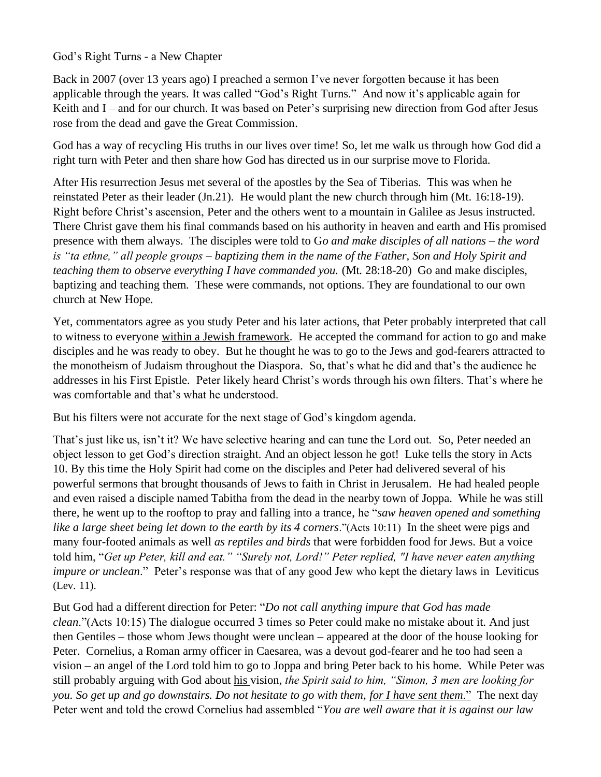## God's Right Turns - a New Chapter

Back in 2007 (over 13 years ago) I preached a sermon I've never forgotten because it has been applicable through the years. It was called "God's Right Turns." And now it's applicable again for Keith and I – and for our church. It was based on Peter's surprising new direction from God after Jesus rose from the dead and gave the Great Commission.

God has a way of recycling His truths in our lives over time! So, let me walk us through how God did a right turn with Peter and then share how God has directed us in our surprise move to Florida.

After His resurrection Jesus met several of the apostles by the Sea of Tiberias. This was when he reinstated Peter as their leader (Jn.21). He would plant the new church through him (Mt. 16:18-19). Right before Christ's ascension, Peter and the others went to a mountain in Galilee as Jesus instructed. There Christ gave them his final commands based on his authority in heaven and earth and His promised presence with them always. The disciples were told to G*o and make disciples of all nations – the word is "ta ethne," all people groups – baptizing them in the name of the Father, Son and Holy Spirit and teaching them to observe everything I have commanded you.* (Mt. 28:18-20) Go and make disciples, baptizing and teaching them. These were commands, not options. They are foundational to our own church at New Hope.

Yet, commentators agree as you study Peter and his later actions, that Peter probably interpreted that call to witness to everyone within a Jewish framework. He accepted the command for action to go and make disciples and he was ready to obey. But he thought he was to go to the Jews and god-fearers attracted to the monotheism of Judaism throughout the Diaspora. So, that's what he did and that's the audience he addresses in his First Epistle. Peter likely heard Christ's words through his own filters. That's where he was comfortable and that's what he understood.

But his filters were not accurate for the next stage of God's kingdom agenda.

That's just like us, isn't it? We have selective hearing and can tune the Lord out. So, Peter needed an object lesson to get God's direction straight. And an object lesson he got! Luke tells the story in Acts 10. By this time the Holy Spirit had come on the disciples and Peter had delivered several of his powerful sermons that brought thousands of Jews to faith in Christ in Jerusalem. He had healed people and even raised a disciple named Tabitha from the dead in the nearby town of Joppa. While he was still there, he went up to the rooftop to pray and falling into a trance, he "*saw heaven opened and something like a large sheet being let down to the earth by its 4 corners*."(Acts 10:11) In the sheet were pigs and many four-footed animals as well *as reptiles and birds* that were forbidden food for Jews. But a voice told him, "*Get up Peter, kill and eat." "Surely not, Lord!" Peter replied, "I have never eaten anything impure or unclean*." Peter's response was that of any good Jew who kept the dietary laws in Leviticus (Lev. 11).

But God had a different direction for Peter: "*Do not call anything impure that God has made clean*."(Acts 10:15) The dialogue occurred 3 times so Peter could make no mistake about it. And just then Gentiles – those whom Jews thought were unclean – appeared at the door of the house looking for Peter. Cornelius, a Roman army officer in Caesarea, was a devout god-fearer and he too had seen a vision – an angel of the Lord told him to go to Joppa and bring Peter back to his home. While Peter was still probably arguing with God about his vision, *the Spirit said to him, "Simon, 3 men are looking for you. So get up and go downstairs. Do not hesitate to go with them, for I have sent them*." The next day Peter went and told the crowd Cornelius had assembled "*You are well aware that it is against our law*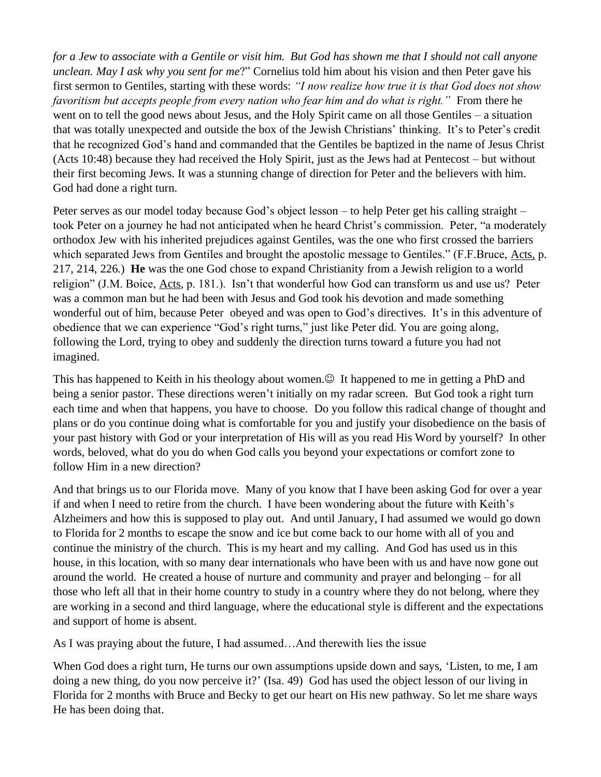*for a Jew to associate with a Gentile or visit him. But God has shown me that I should not call anyone unclean. May I ask why you sent for me*?" Cornelius told him about his vision and then Peter gave his first sermon to Gentiles, starting with these words: *"I now realize how true it is that God does not show favoritism but accepts people from every nation who fear him and do what is right."* From there he went on to tell the good news about Jesus, and the Holy Spirit came on all those Gentiles – a situation that was totally unexpected and outside the box of the Jewish Christians' thinking. It's to Peter's credit that he recognized God's hand and commanded that the Gentiles be baptized in the name of Jesus Christ (Acts 10:48) because they had received the Holy Spirit, just as the Jews had at Pentecost – but without their first becoming Jews. It was a stunning change of direction for Peter and the believers with him. God had done a right turn.

Peter serves as our model today because God's object lesson – to help Peter get his calling straight – took Peter on a journey he had not anticipated when he heard Christ's commission. Peter, "a moderately orthodox Jew with his inherited prejudices against Gentiles, was the one who first crossed the barriers which separated Jews from Gentiles and brought the apostolic message to Gentiles." (F.F.Bruce, Acts, p. 217, 214, 226.) **He** was the one God chose to expand Christianity from a Jewish religion to a world religion" (J.M. Boice, Acts, p. 181.). Isn't that wonderful how God can transform us and use us? Peter was a common man but he had been with Jesus and God took his devotion and made something wonderful out of him, because Peter obeyed and was open to God's directives. It's in this adventure of obedience that we can experience "God's right turns," just like Peter did. You are going along, following the Lord, trying to obey and suddenly the direction turns toward a future you had not imagined.

This has happened to Keith in his theology about women. $\odot$  It happened to me in getting a PhD and being a senior pastor. These directions weren't initially on my radar screen. But God took a right turn each time and when that happens, you have to choose. Do you follow this radical change of thought and plans or do you continue doing what is comfortable for you and justify your disobedience on the basis of your past history with God or your interpretation of His will as you read His Word by yourself? In other words, beloved, what do you do when God calls you beyond your expectations or comfort zone to follow Him in a new direction?

And that brings us to our Florida move. Many of you know that I have been asking God for over a year if and when I need to retire from the church. I have been wondering about the future with Keith's Alzheimers and how this is supposed to play out. And until January, I had assumed we would go down to Florida for 2 months to escape the snow and ice but come back to our home with all of you and continue the ministry of the church. This is my heart and my calling. And God has used us in this house, in this location, with so many dear internationals who have been with us and have now gone out around the world. He created a house of nurture and community and prayer and belonging – for all those who left all that in their home country to study in a country where they do not belong, where they are working in a second and third language, where the educational style is different and the expectations and support of home is absent.

As I was praying about the future, I had assumed…And therewith lies the issue

When God does a right turn, He turns our own assumptions upside down and says, 'Listen, to me, I am doing a new thing, do you now perceive it?' (Isa. 49) God has used the object lesson of our living in Florida for 2 months with Bruce and Becky to get our heart on His new pathway. So let me share ways He has been doing that.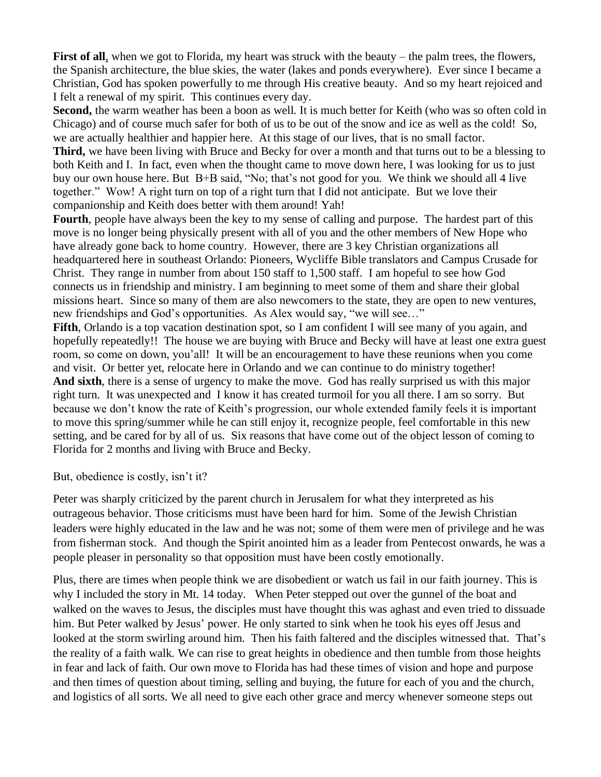First of all, when we got to Florida, my heart was struck with the beauty – the palm trees, the flowers, the Spanish architecture, the blue skies, the water (lakes and ponds everywhere). Ever since I became a Christian, God has spoken powerfully to me through His creative beauty. And so my heart rejoiced and I felt a renewal of my spirit. This continues every day.

**Second,** the warm weather has been a boon as well. It is much better for Keith (who was so often cold in Chicago) and of course much safer for both of us to be out of the snow and ice as well as the cold! So, we are actually healthier and happier here. At this stage of our lives, that is no small factor.

**Third,** we have been living with Bruce and Becky for over a month and that turns out to be a blessing to both Keith and I. In fact, even when the thought came to move down here, I was looking for us to just buy our own house here. But B+B said, "No; that's not good for you. We think we should all 4 live together." Wow! A right turn on top of a right turn that I did not anticipate. But we love their companionship and Keith does better with them around! Yah!

**Fourth**, people have always been the key to my sense of calling and purpose. The hardest part of this move is no longer being physically present with all of you and the other members of New Hope who have already gone back to home country. However, there are 3 key Christian organizations all headquartered here in southeast Orlando: Pioneers, Wycliffe Bible translators and Campus Crusade for Christ. They range in number from about 150 staff to 1,500 staff. I am hopeful to see how God connects us in friendship and ministry. I am beginning to meet some of them and share their global missions heart. Since so many of them are also newcomers to the state, they are open to new ventures, new friendships and God's opportunities. As Alex would say, "we will see…"

**Fifth**, Orlando is a top vacation destination spot, so I am confident I will see many of you again, and hopefully repeatedly!! The house we are buying with Bruce and Becky will have at least one extra guest room, so come on down, you'all! It will be an encouragement to have these reunions when you come and visit. Or better yet, relocate here in Orlando and we can continue to do ministry together! **And sixth**, there is a sense of urgency to make the move. God has really surprised us with this major right turn. It was unexpected and I know it has created turmoil for you all there. I am so sorry. But because we don't know the rate of Keith's progression, our whole extended family feels it is important to move this spring/summer while he can still enjoy it, recognize people, feel comfortable in this new setting, and be cared for by all of us. Six reasons that have come out of the object lesson of coming to Florida for 2 months and living with Bruce and Becky.

But, obedience is costly, isn't it?

Peter was sharply criticized by the parent church in Jerusalem for what they interpreted as his outrageous behavior. Those criticisms must have been hard for him. Some of the Jewish Christian leaders were highly educated in the law and he was not; some of them were men of privilege and he was from fisherman stock. And though the Spirit anointed him as a leader from Pentecost onwards, he was a people pleaser in personality so that opposition must have been costly emotionally.

Plus, there are times when people think we are disobedient or watch us fail in our faith journey. This is why I included the story in Mt. 14 today. When Peter stepped out over the gunnel of the boat and walked on the waves to Jesus, the disciples must have thought this was aghast and even tried to dissuade him. But Peter walked by Jesus' power. He only started to sink when he took his eyes off Jesus and looked at the storm swirling around him. Then his faith faltered and the disciples witnessed that. That's the reality of a faith walk. We can rise to great heights in obedience and then tumble from those heights in fear and lack of faith. Our own move to Florida has had these times of vision and hope and purpose and then times of question about timing, selling and buying, the future for each of you and the church, and logistics of all sorts. We all need to give each other grace and mercy whenever someone steps out